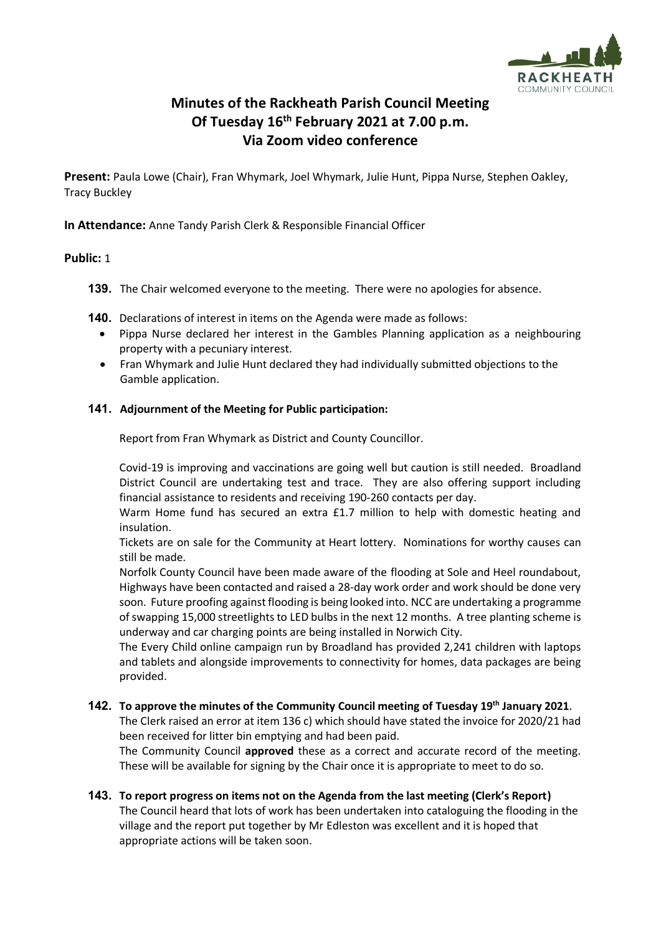

# **Minutes of the Rackheath Parish Council Meeting Of Tuesday 16th February 2021 at 7.00 p.m. Via Zoom video conference**

**Present:** Paula Lowe (Chair), Fran Whymark, Joel Whymark, Julie Hunt, Pippa Nurse, Stephen Oakley, Tracy Buckley

**In Attendance:** Anne Tandy Parish Clerk & Responsible Financial Officer

# **Public:** 1

- **139.** The Chair welcomed everyone to the meeting. There were no apologies for absence.
- **140.** Declarations of interest in items on the Agenda were made as follows:
	- Pippa Nurse declared her interest in the Gambles Planning application as a neighbouring property with a pecuniary interest.
	- Fran Whymark and Julie Hunt declared they had individually submitted objections to the Gamble application.

# **141. Adjournment of the Meeting for Public participation:**

Report from Fran Whymark as District and County Councillor.

Covid-19 is improving and vaccinations are going well but caution is still needed. Broadland District Council are undertaking test and trace. They are also offering support including financial assistance to residents and receiving 190-260 contacts per day.

Warm Home fund has secured an extra £1.7 million to help with domestic heating and insulation.

Tickets are on sale for the Community at Heart lottery. Nominations for worthy causes can still be made.

Norfolk County Council have been made aware of the flooding at Sole and Heel roundabout, Highways have been contacted and raised a 28-day work order and work should be done very soon. Future proofing against flooding is being looked into. NCC are undertaking a programme of swapping 15,000 streetlights to LED bulbs in the next 12 months. A tree planting scheme is underway and car charging points are being installed in Norwich City.

The Every Child online campaign run by Broadland has provided 2,241 children with laptops and tablets and alongside improvements to connectivity for homes, data packages are being provided.

### **142. To approve the minutes of the Community Council meeting of Tuesday 19th January 2021**.

The Clerk raised an error at item 136 c) which should have stated the invoice for 2020/21 had been received for litter bin emptying and had been paid.

The Community Council **approved** these as a correct and accurate record of the meeting. These will be available for signing by the Chair once it is appropriate to meet to do so.

### **143. To report progress on items not on the Agenda from the last meeting (Clerk's Report)**

The Council heard that lots of work has been undertaken into cataloguing the flooding in the village and the report put together by Mr Edleston was excellent and it is hoped that appropriate actions will be taken soon.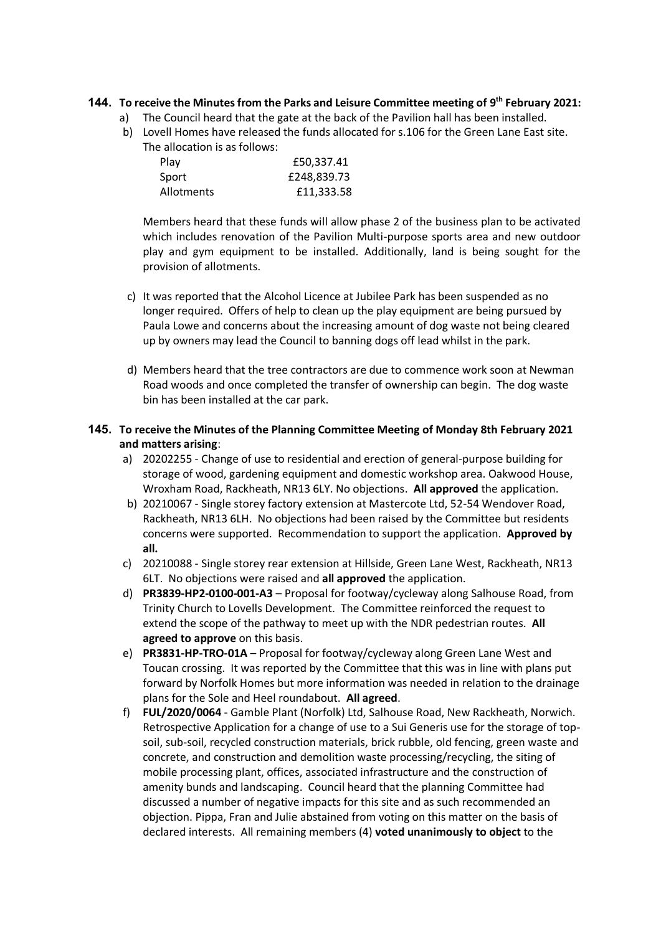# **144. To receive the Minutes from the Parks and Leisure Committee meeting of 9 th February 2021:**

- a) The Council heard that the gate at the back of the Pavilion hall has been installed.
- b) Lovell Homes have released the funds allocated for s.106 for the Green Lane East site. The allocation is as follows:

| £50,337.41  |
|-------------|
| £248,839.73 |
| £11,333.58  |
|             |

Members heard that these funds will allow phase 2 of the business plan to be activated which includes renovation of the Pavilion Multi-purpose sports area and new outdoor play and gym equipment to be installed. Additionally, land is being sought for the provision of allotments.

- c) It was reported that the Alcohol Licence at Jubilee Park has been suspended as no longer required. Offers of help to clean up the play equipment are being pursued by Paula Lowe and concerns about the increasing amount of dog waste not being cleared up by owners may lead the Council to banning dogs off lead whilst in the park.
- d) Members heard that the tree contractors are due to commence work soon at Newman Road woods and once completed the transfer of ownership can begin. The dog waste bin has been installed at the car park.

# **145. To receive the Minutes of the Planning Committee Meeting of Monday 8th February 2021 and matters arising**:

- a) 20202255 Change of use to residential and erection of general-purpose building for storage of wood, gardening equipment and domestic workshop area. Oakwood House, Wroxham Road, Rackheath, NR13 6LY. No objections. **All approved** the application.
- b) 20210067 Single storey factory extension at Mastercote Ltd, 52-54 Wendover Road, Rackheath, NR13 6LH. No objections had been raised by the Committee but residents concerns were supported. Recommendation to support the application. **Approved by all.**
- c) 20210088 Single storey rear extension at Hillside, Green Lane West, Rackheath, NR13 6LT. No objections were raised and **all approved** the application.
- d) **PR3839-HP2-0100-001-A3** Proposal for footway/cycleway along Salhouse Road, from Trinity Church to Lovells Development. The Committee reinforced the request to extend the scope of the pathway to meet up with the NDR pedestrian routes. **All agreed to approve** on this basis.
- e) **PR3831-HP-TRO-01A** Proposal for footway/cycleway along Green Lane West and Toucan crossing. It was reported by the Committee that this was in line with plans put forward by Norfolk Homes but more information was needed in relation to the drainage plans for the Sole and Heel roundabout. **All agreed**.
- f) **FUL/2020/0064** Gamble Plant (Norfolk) Ltd, Salhouse Road, New Rackheath, Norwich. Retrospective Application for a change of use to a Sui Generis use for the storage of topsoil, sub-soil, recycled construction materials, brick rubble, old fencing, green waste and concrete, and construction and demolition waste processing/recycling, the siting of mobile processing plant, offices, associated infrastructure and the construction of amenity bunds and landscaping. Council heard that the planning Committee had discussed a number of negative impacts for this site and as such recommended an objection. Pippa, Fran and Julie abstained from voting on this matter on the basis of declared interests. All remaining members (4) **voted unanimously to object** to the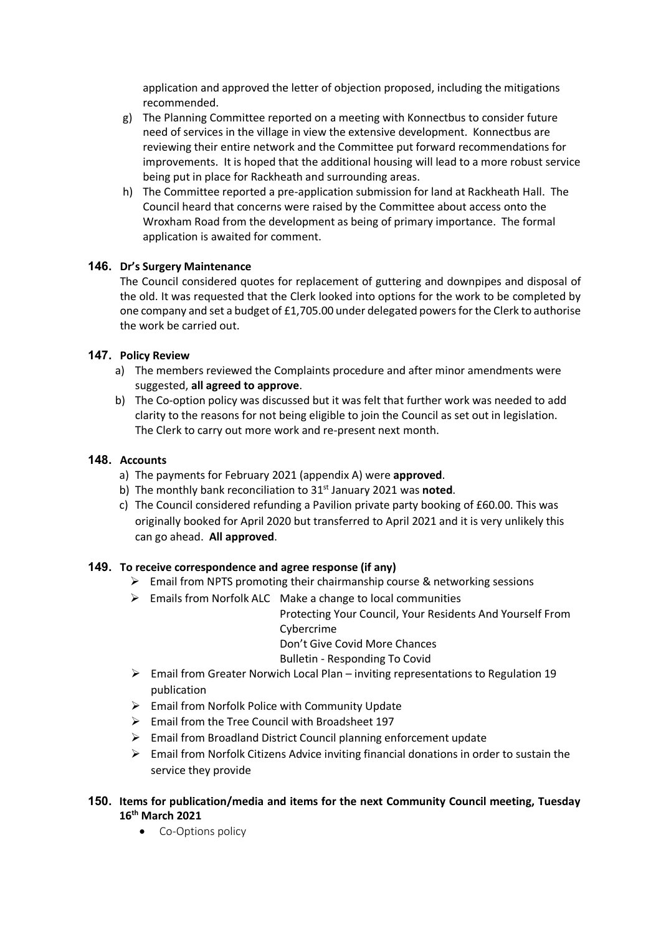application and approved the letter of objection proposed, including the mitigations recommended.

- g) The Planning Committee reported on a meeting with Konnectbus to consider future need of services in the village in view the extensive development. Konnectbus are reviewing their entire network and the Committee put forward recommendations for improvements. It is hoped that the additional housing will lead to a more robust service being put in place for Rackheath and surrounding areas.
- h) The Committee reported a pre-application submission for land at Rackheath Hall. The Council heard that concerns were raised by the Committee about access onto the Wroxham Road from the development as being of primary importance. The formal application is awaited for comment.

# **146. Dr's Surgery Maintenance**

The Council considered quotes for replacement of guttering and downpipes and disposal of the old. It was requested that the Clerk looked into options for the work to be completed by one company and set a budget of £1,705.00 under delegated powers forthe Clerk to authorise the work be carried out.

# **147. Policy Review**

- a) The members reviewed the Complaints procedure and after minor amendments were suggested, **all agreed to approve**.
- b) The Co-option policy was discussed but it was felt that further work was needed to add clarity to the reasons for not being eligible to join the Council as set out in legislation. The Clerk to carry out more work and re-present next month.

# **148. Accounts**

- a) The payments for February 2021 (appendix A) were **approved**.
- b) The monthly bank reconciliation to 31<sup>st</sup> January 2021 was noted.
- c) The Council considered refunding a Pavilion private party booking of £60.00. This was originally booked for April 2020 but transferred to April 2021 and it is very unlikely this can go ahead. **All approved**.

# **149. To receive correspondence and agree response (if any)**

- $\triangleright$  Email from NPTS promoting their chairmanship course & networking sessions
- $\triangleright$  Emails from Norfolk ALC Make a change to local communities

Protecting Your Council, Your Residents And Yourself From Cybercrime

Don't Give Covid More Chances

### Bulletin - Responding To Covid

- ➢ Email from Greater Norwich Local Plan inviting representations to Regulation 19 publication
- ➢ Email from Norfolk Police with Community Update
- ➢ Email from the Tree Council with Broadsheet 197
- ➢ Email from Broadland District Council planning enforcement update
- $\triangleright$  Email from Norfolk Citizens Advice inviting financial donations in order to sustain the service they provide
- **150. Items for publication/media and items for the next Community Council meeting, Tuesday 16th March 2021**
	- Co-Options policy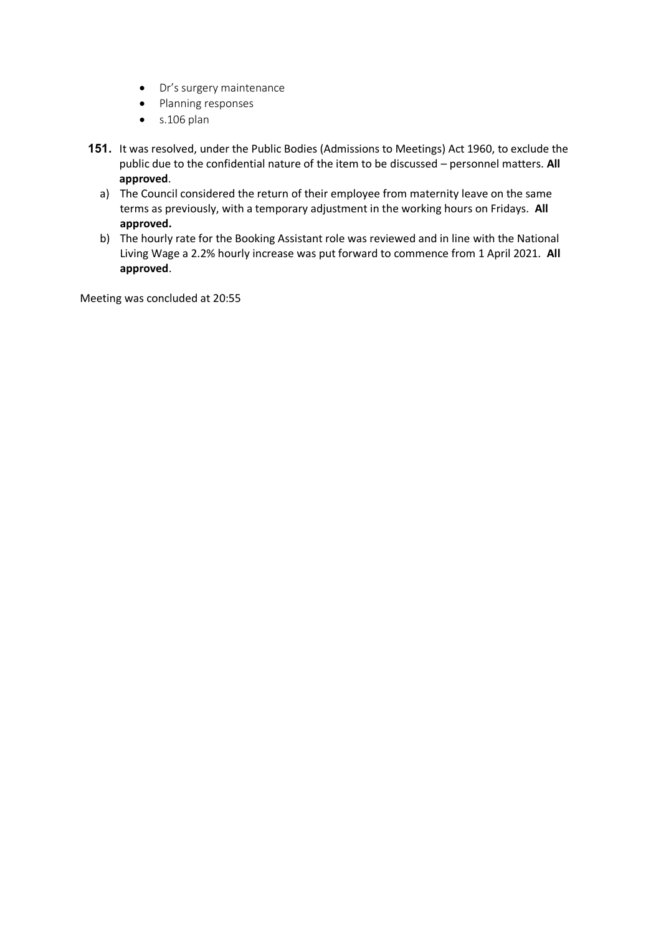- Dr's surgery maintenance
- Planning responses
- $\bullet$  s.106 plan
- **151.** It was resolved, under the Public Bodies (Admissions to Meetings) Act 1960, to exclude the public due to the confidential nature of the item to be discussed – personnel matters. **All approved**.
	- a) The Council considered the return of their employee from maternity leave on the same terms as previously, with a temporary adjustment in the working hours on Fridays. **All approved.**
	- b) The hourly rate for the Booking Assistant role was reviewed and in line with the National Living Wage a 2.2% hourly increase was put forward to commence from 1 April 2021. **All approved**.

Meeting was concluded at 20:55